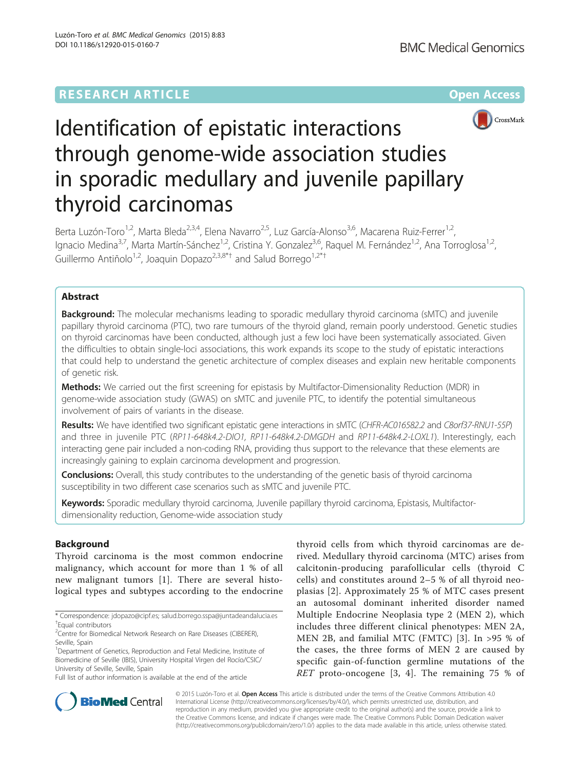# **RESEARCH ARTICLE External Structure Community Community Community Community Community Community Community Community**



# Identification of epistatic interactions through genome-wide association studies in sporadic medullary and juvenile papillary thyroid carcinomas

Berta Luzón-Toro<sup>1,2</sup>, Marta Bleda<sup>2,3,4</sup>, Elena Navarro<sup>2,5</sup>, Luz García-Alonso<sup>3,6</sup>, Macarena Ruiz-Ferrer<sup>1,2</sup>, Ignacio Medina<sup>3,7</sup>, Marta Martín-Sánchez<sup>1,2</sup>, Cristina Y. Gonzalez<sup>3,6</sup>, Raquel M. Fernández<sup>1,2</sup>, Ana Torroglosa<sup>1,2</sup>, Guillermo Antiñolo $1/2$ , Joaquin Dopazo $2/3,8^{*+}$  and Salud Borrego $1/2^{*+}$ 

### Abstract

**Background:** The molecular mechanisms leading to sporadic medullary thyroid carcinoma (sMTC) and juvenile papillary thyroid carcinoma (PTC), two rare tumours of the thyroid gland, remain poorly understood. Genetic studies on thyroid carcinomas have been conducted, although just a few loci have been systematically associated. Given the difficulties to obtain single-loci associations, this work expands its scope to the study of epistatic interactions that could help to understand the genetic architecture of complex diseases and explain new heritable components of genetic risk.

Methods: We carried out the first screening for epistasis by Multifactor-Dimensionality Reduction (MDR) in genome-wide association study (GWAS) on sMTC and juvenile PTC, to identify the potential simultaneous involvement of pairs of variants in the disease.

Results: We have identified two significant epistatic gene interactions in sMTC (CHFR-AC016582.2 and C8orf37-RNU1-55P) and three in juvenile PTC (RP11-648k4.2-DIO1, RP11-648k4.2-DMGDH and RP11-648k4.2-LOXL1). Interestingly, each interacting gene pair included a non-coding RNA, providing thus support to the relevance that these elements are increasingly gaining to explain carcinoma development and progression.

**Conclusions:** Overall, this study contributes to the understanding of the genetic basis of thyroid carcinoma susceptibility in two different case scenarios such as sMTC and juvenile PTC.

Keywords: Sporadic medullary thyroid carcinoma, Juvenile papillary thyroid carcinoma, Epistasis, Multifactordimensionality reduction, Genome-wide association study

# Background

Thyroid carcinoma is the most common endocrine malignancy, which account for more than 1 % of all new malignant tumors [\[1](#page-7-0)]. There are several histological types and subtypes according to the endocrine

Full list of author information is available at the end of the article

thyroid cells from which thyroid carcinomas are derived. Medullary thyroid carcinoma (MTC) arises from calcitonin-producing parafollicular cells (thyroid C cells) and constitutes around 2–5 % of all thyroid neoplasias [[2\]](#page-7-0). Approximately 25 % of MTC cases present an autosomal dominant inherited disorder named Multiple Endocrine Neoplasia type 2 (MEN 2), which includes three different clinical phenotypes: MEN 2A, MEN 2B, and familial MTC (FMTC) [[3](#page-7-0)]. In >95 % of the cases, the three forms of MEN 2 are caused by specific gain-of-function germline mutations of the RET proto-oncogene [[3](#page-7-0), [4\]](#page-7-0). The remaining 75 % of



© 2015 Luzón-Toro et al. Open Access This article is distributed under the terms of the Creative Commons Attribution 4.0 International License [\(http://creativecommons.org/licenses/by/4.0/](http://creativecommons.org/licenses/by/4.0/)), which permits unrestricted use, distribution, and reproduction in any medium, provided you give appropriate credit to the original author(s) and the source, provide a link to the Creative Commons license, and indicate if changes were made. The Creative Commons Public Domain Dedication waiver [\(http://creativecommons.org/publicdomain/zero/1.0/](http://creativecommons.org/publicdomain/zero/1.0/)) applies to the data made available in this article, unless otherwise stated.

<sup>\*</sup> Correspondence: [jdopazo@cipf.es](mailto:jdopazo@cipf.es); [salud.borrego.sspa@juntadeandalucia.es](mailto:salud.borrego.sspa@juntadeandalucia.es) † Equal contributors

<sup>&</sup>lt;sup>2</sup> Centre for Biomedical Network Research on Rare Diseases (CIBERER), Seville, Spain

<sup>&</sup>lt;sup>1</sup>Department of Genetics, Reproduction and Fetal Medicine, Institute of Biomedicine of Seville (IBIS), University Hospital Virgen del Rocío/CSIC/ University of Seville, Seville, Spain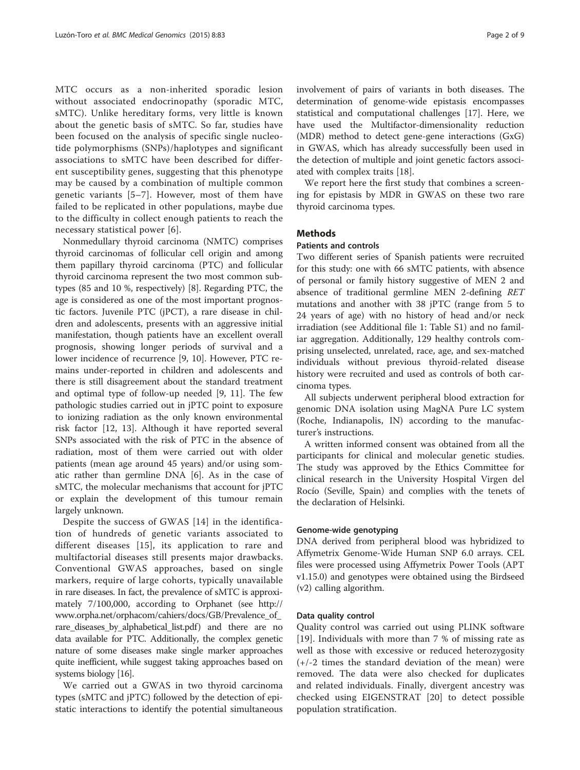MTC occurs as a non-inherited sporadic lesion without associated endocrinopathy (sporadic MTC, sMTC). Unlike hereditary forms, very little is known about the genetic basis of sMTC. So far, studies have been focused on the analysis of specific single nucleotide polymorphisms (SNPs)/haplotypes and significant associations to sMTC have been described for different susceptibility genes, suggesting that this phenotype may be caused by a combination of multiple common genetic variants [[5](#page-7-0)–[7](#page-7-0)]. However, most of them have failed to be replicated in other populations, maybe due to the difficulty in collect enough patients to reach the necessary statistical power [[6\]](#page-7-0).

Nonmedullary thyroid carcinoma (NMTC) comprises thyroid carcinomas of follicular cell origin and among them papillary thyroid carcinoma (PTC) and follicular thyroid carcinoma represent the two most common subtypes (85 and 10 %, respectively) [\[8](#page-7-0)]. Regarding PTC, the age is considered as one of the most important prognostic factors. Juvenile PTC (jPCT), a rare disease in children and adolescents, presents with an aggressive initial manifestation, though patients have an excellent overall prognosis, showing longer periods of survival and a lower incidence of recurrence [[9](#page-7-0), [10\]](#page-7-0). However, PTC remains under-reported in children and adolescents and there is still disagreement about the standard treatment and optimal type of follow-up needed [\[9](#page-7-0), [11](#page-7-0)]. The few pathologic studies carried out in jPTC point to exposure to ionizing radiation as the only known environmental risk factor [\[12](#page-7-0), [13](#page-7-0)]. Although it have reported several SNPs associated with the risk of PTC in the absence of radiation, most of them were carried out with older patients (mean age around 45 years) and/or using somatic rather than germline DNA [\[6](#page-7-0)]. As in the case of sMTC, the molecular mechanisms that account for jPTC or explain the development of this tumour remain largely unknown.

Despite the success of GWAS [\[14](#page-7-0)] in the identification of hundreds of genetic variants associated to different diseases [\[15\]](#page-7-0), its application to rare and multifactorial diseases still presents major drawbacks. Conventional GWAS approaches, based on single markers, require of large cohorts, typically unavailable in rare diseases. In fact, the prevalence of sMTC is approximately 7/100,000, according to Orphanet (see [http://](http://www.orpha.net/orphacom/cahiers/docs/GB/Prevalence_of_rare_diseases_by_alphabetical_list.pdf) [www.orpha.net/orphacom/cahiers/docs/GB/Prevalence\\_of\\_](http://www.orpha.net/orphacom/cahiers/docs/GB/Prevalence_of_rare_diseases_by_alphabetical_list.pdf) [rare\\_diseases\\_by\\_alphabetical\\_list.pdf](http://www.orpha.net/orphacom/cahiers/docs/GB/Prevalence_of_rare_diseases_by_alphabetical_list.pdf)) and there are no data available for PTC. Additionally, the complex genetic nature of some diseases make single marker approaches quite inefficient, while suggest taking approaches based on systems biology [\[16\]](#page-7-0).

We carried out a GWAS in two thyroid carcinoma types (sMTC and jPTC) followed by the detection of epistatic interactions to identify the potential simultaneous

involvement of pairs of variants in both diseases. The determination of genome-wide epistasis encompasses statistical and computational challenges [[17](#page-7-0)]. Here, we have used the Multifactor-dimensionality reduction (MDR) method to detect gene-gene interactions (GxG) in GWAS, which has already successfully been used in the detection of multiple and joint genetic factors associated with complex traits [\[18](#page-7-0)].

We report here the first study that combines a screening for epistasis by MDR in GWAS on these two rare thyroid carcinoma types.

#### **Methods**

#### Patients and controls

Two different series of Spanish patients were recruited for this study: one with 66 sMTC patients, with absence of personal or family history suggestive of MEN 2 and absence of traditional germline MEN 2-defining RET mutations and another with 38 jPTC (range from 5 to 24 years of age) with no history of head and/or neck irradiation (see Additional file [1](#page-7-0): Table S1) and no familiar aggregation. Additionally, 129 healthy controls comprising unselected, unrelated, race, age, and sex-matched individuals without previous thyroid-related disease history were recruited and used as controls of both carcinoma types.

All subjects underwent peripheral blood extraction for genomic DNA isolation using MagNA Pure LC system (Roche, Indianapolis, IN) according to the manufacturer's instructions.

A written informed consent was obtained from all the participants for clinical and molecular genetic studies. The study was approved by the Ethics Committee for clinical research in the University Hospital Virgen del Rocío (Seville, Spain) and complies with the tenets of the declaration of Helsinki.

#### Genome-wide genotyping

DNA derived from peripheral blood was hybridized to Affymetrix Genome-Wide Human SNP 6.0 arrays. CEL files were processed using Affymetrix Power Tools (APT v1.15.0) and genotypes were obtained using the Birdseed (v2) calling algorithm.

#### Data quality control

Quality control was carried out using PLINK software [[19\]](#page-7-0). Individuals with more than 7 % of missing rate as well as those with excessive or reduced heterozygosity (+/-2 times the standard deviation of the mean) were removed. The data were also checked for duplicates and related individuals. Finally, divergent ancestry was checked using EIGENSTRAT [[20\]](#page-7-0) to detect possible population stratification.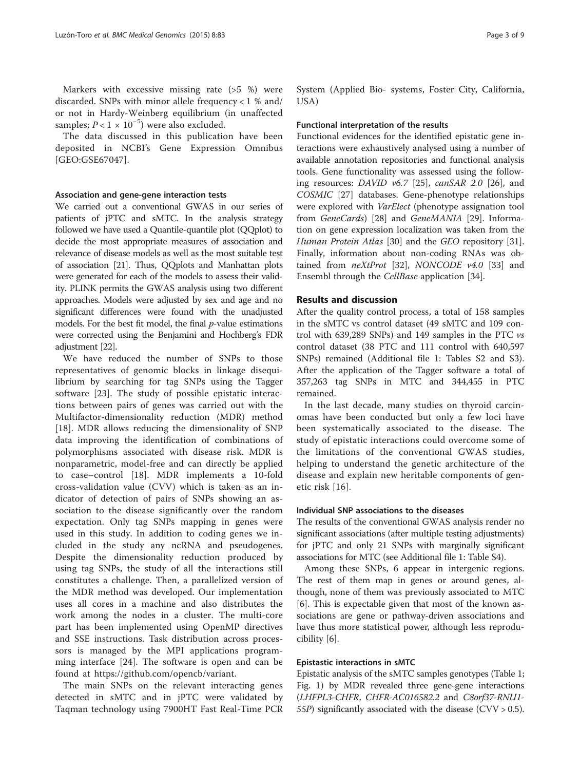The data discussed in this publication have been deposited in NCBI's Gene Expression Omnibus [GEO:GSE67047].

#### Association and gene-gene interaction tests

We carried out a conventional GWAS in our series of patients of jPTC and sMTC. In the analysis strategy followed we have used a Quantile-quantile plot (QQplot) to decide the most appropriate measures of association and relevance of disease models as well as the most suitable test of association [\[21\]](#page-7-0). Thus, QQplots and Manhattan plots were generated for each of the models to assess their validity. PLINK permits the GWAS analysis using two different approaches. Models were adjusted by sex and age and no significant differences were found with the unadjusted models. For the best fit model, the final  $p$ -value estimations were corrected using the Benjamini and Hochberg's FDR adjustment [\[22](#page-7-0)].

We have reduced the number of SNPs to those representatives of genomic blocks in linkage disequilibrium by searching for tag SNPs using the Tagger software [[23\]](#page-7-0). The study of possible epistatic interactions between pairs of genes was carried out with the Multifactor-dimensionality reduction (MDR) method [[18\]](#page-7-0). MDR allows reducing the dimensionality of SNP data improving the identification of combinations of polymorphisms associated with disease risk. MDR is nonparametric, model-free and can directly be applied to case–control [[18\]](#page-7-0). MDR implements a 10-fold cross-validation value (CVV) which is taken as an indicator of detection of pairs of SNPs showing an association to the disease significantly over the random expectation. Only tag SNPs mapping in genes were used in this study. In addition to coding genes we included in the study any ncRNA and pseudogenes. Despite the dimensionality reduction produced by using tag SNPs, the study of all the interactions still constitutes a challenge. Then, a parallelized version of the MDR method was developed. Our implementation uses all cores in a machine and also distributes the work among the nodes in a cluster. The multi-core part has been implemented using OpenMP directives and SSE instructions. Task distribution across processors is managed by the MPI applications programming interface [\[24](#page-7-0)]. The software is open and can be found at [https://github.com/opencb/variant.](https://github.com/opencb/variant)

The main SNPs on the relevant interacting genes detected in sMTC and in jPTC were validated by Taqman technology using 7900HT Fast Real-Time PCR System (Applied Bio- systems, Foster City, California, USA)

#### Functional interpretation of the results

Functional evidences for the identified epistatic gene interactions were exhaustively analysed using a number of available annotation repositories and functional analysis tools. Gene functionality was assessed using the following resources: DAVID  $v6.7$  [[25\]](#page-7-0), canSAR 2.0 [[26](#page-8-0)], and COSMIC [\[27\]](#page-8-0) databases. Gene-phenotype relationships were explored with VarElect (phenotype assignation tool from GeneCards) [[28\]](#page-8-0) and GeneMANIA [[29](#page-8-0)]. Information on gene expression localization was taken from the Human Protein Atlas [\[30](#page-8-0)] and the GEO repository [\[31](#page-8-0)]. Finally, information about non-coding RNAs was obtained from  $neXtProt$  [[32\]](#page-8-0), NONCODE  $v4.0$  [[33\]](#page-8-0) and Ensembl through the *CellBase* application [\[34\]](#page-8-0).

#### Results and discussion

After the quality control process, a total of 158 samples in the sMTC vs control dataset (49 sMTC and 109 control with 639,289 SNPs) and 149 samples in the PTC vs control dataset (38 PTC and 111 control with 640,597 SNPs) remained (Additional file [1:](#page-7-0) Tables S2 and S3). After the application of the Tagger software a total of 357,263 tag SNPs in MTC and 344,455 in PTC remained.

In the last decade, many studies on thyroid carcinomas have been conducted but only a few loci have been systematically associated to the disease. The study of epistatic interactions could overcome some of the limitations of the conventional GWAS studies, helping to understand the genetic architecture of the disease and explain new heritable components of genetic risk [[16](#page-7-0)].

#### Individual SNP associations to the diseases

The results of the conventional GWAS analysis render no significant associations (after multiple testing adjustments) for jPTC and only 21 SNPs with marginally significant associations for MTC (see Additional file [1:](#page-7-0) Table S4).

Among these SNPs, 6 appear in intergenic regions. The rest of them map in genes or around genes, although, none of them was previously associated to MTC [[6\]](#page-7-0). This is expectable given that most of the known associations are gene or pathway-driven associations and have thus more statistical power, although less reproducibility [\[6](#page-7-0)].

#### Epistastic interactions in sMTC

Epistatic analysis of the sMTC samples genotypes (Table [1](#page-3-0); Fig. [1](#page-3-0)) by MDR revealed three gene-gene interactions (LHFPL3-CHFR, CHFR-AC016582.2 and C8orf37-RNU1- 55P) significantly associated with the disease  $(CVV > 0.5)$ .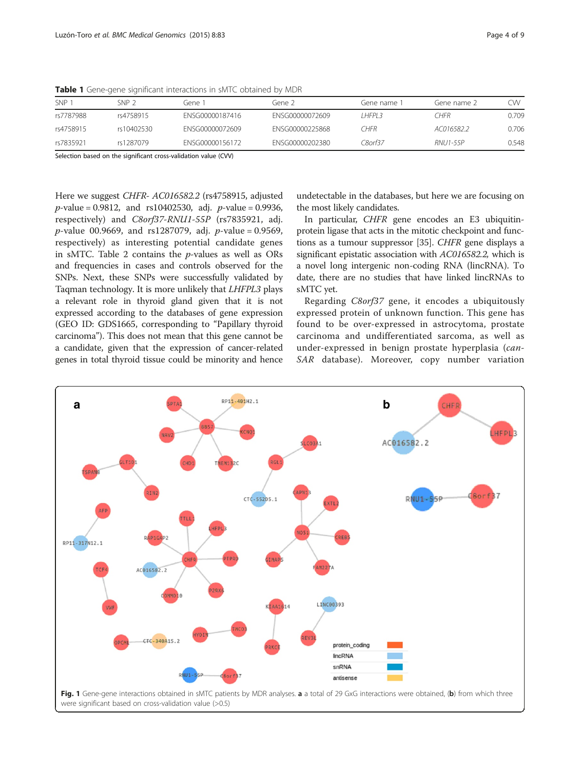| <b>SNP</b> | SNP 2      | Gene 1          | Gene 2.         | Gene name 1 | Gene name 2     | .W    |
|------------|------------|-----------------|-----------------|-------------|-----------------|-------|
| rs7787988  | rs4758915  | FNSG00000187416 | FNSG00000072609 | I HFPI 3    | ^HFR            | 0.709 |
| rs4758915  | rs10402530 | FNSG00000072609 | FNSG00000225868 | CHFR        | AC016582.2      | 0.706 |
| rs7835921  | rs1287079  | FNSG00000156172 | FNSG00000202380 | C80rf37     | <b>RNU1-55P</b> | 0.548 |

<span id="page-3-0"></span>Table 1 Gene-gene significant interactions in sMTC obtained by MDR

Selection based on the significant cross-validation value (CVV)

Here we suggest CHFR- AC016582.2 (rs4758915, adjusted  $p$ -value = 0.9812, and rs10402530, adj.  $p$ -value = 0.9936, respectively) and C8orf37-RNU1-55P (rs7835921, adj. *p*-value 00.9669, and rs1287079, adj. *p*-value = 0.9569, respectively) as interesting potential candidate genes in sMTC. Table [2](#page-4-0) contains the  $p$ -values as well as ORs and frequencies in cases and controls observed for the SNPs. Next, these SNPs were successfully validated by Taqman technology. It is more unlikely that LHFPL3 plays a relevant role in thyroid gland given that it is not expressed according to the databases of gene expression (GEO ID: GDS1665, corresponding to "Papillary thyroid carcinoma"). This does not mean that this gene cannot be a candidate, given that the expression of cancer-related genes in total thyroid tissue could be minority and hence undetectable in the databases, but here we are focusing on the most likely candidates.

In particular, CHFR gene encodes an E3 ubiquitinprotein ligase that acts in the mitotic checkpoint and functions as a tumour suppressor [[35\]](#page-8-0). CHFR gene displays a significant epistatic association with AC016582.2, which is a novel long intergenic non-coding RNA (lincRNA). To date, there are no studies that have linked lincRNAs to sMTC yet.

Regarding C8orf37 gene, it encodes a ubiquitously expressed protein of unknown function. This gene has found to be over-expressed in astrocytoma, prostate carcinoma and undifferentiated sarcoma, as well as under-expressed in benign prostate hyperplasia (can-SAR database). Moreover, copy number variation

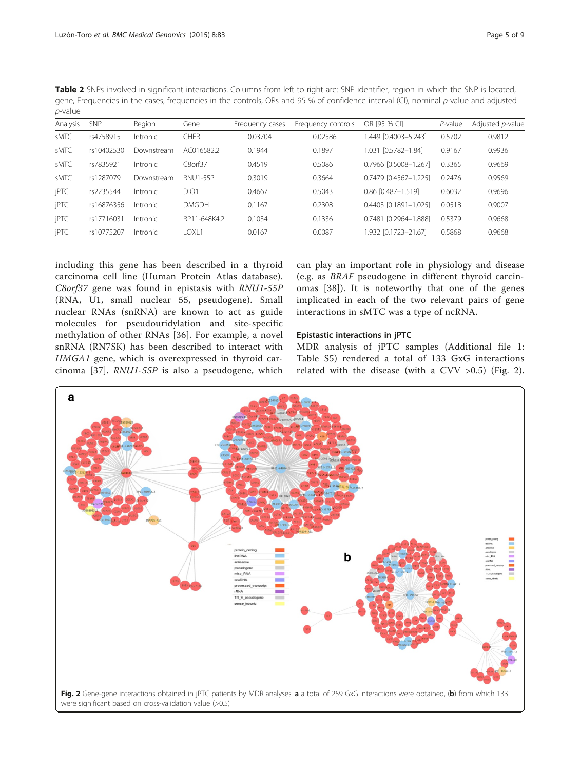<span id="page-4-0"></span>Table 2 SNPs involved in significant interactions. Columns from left to right are: SNP identifier, region in which the SNP is located, gene, Frequencies in the cases, frequencies in the controls, ORs and 95 % of confidence interval (CI), nominal p-value and adjusted p-value

| Analysis | <b>SNP</b> | Region          | Gene            | Frequency cases | Frequency controls | OR [95 % CI]          | $P$ -value | Adjusted p-value |
|----------|------------|-----------------|-----------------|-----------------|--------------------|-----------------------|------------|------------------|
| sMTC     | rs4758915  | Intronic        | <b>CHFR</b>     | 0.03704         | 0.02586            | .449 [0.4003-5.243]   | 0.5702     | 0.9812           |
| sMTC     | rs10402530 | Downstream      | AC016582.2      | 0.1944          | 0.1897             | 1.031 [0.5782-1.84]   | 0.9167     | 0.9936           |
| sMTC     | rs7835921  | Intronic        | C8orf37         | 0.4519          | 0.5086             | 0.7966 [0.5008-1.267] | 0.3365     | 0.9669           |
| sMTC     | rs1287079  | Downstream      | <b>RNU1-55P</b> | 0.3019          | 0.3664             | 0.7479 [0.4567-1.225] | 0.2476     | 0.9569           |
| jPTC     | rs2235544  | Intronic        | DIO1            | 0.4667          | 0.5043             | 0.86 [0.487-1.519]    | 0.6032     | 0.9696           |
| jPTC     | rs16876356 | Intronic        | <b>DMGDH</b>    | 0.1167          | 0.2308             | 0.4403 [0.1891-1.025] | 0.0518     | 0.9007           |
| jPTC     | rs17716031 | <i>Intronic</i> | RP11-648K4.2    | 0.1034          | 0.1336             | 0.7481 [0.2964-1.888] | 0.5379     | 0.9668           |
| jPTC     | rs10775207 | Intronic        | I OXI 1         | 0.0167          | 0.0087             | .932 [0.1723-21.67]   | 0.5868     | 0.9668           |

including this gene has been described in a thyroid carcinoma cell line (Human Protein Atlas database). C8orf37 gene was found in epistasis with RNU1-55P (RNA, U1, small nuclear 55, pseudogene). Small nuclear RNAs (snRNA) are known to act as guide molecules for pseudouridylation and site-specific methylation of other RNAs [[36](#page-8-0)]. For example, a novel snRNA (RN7SK) has been described to interact with HMGA1 gene, which is overexpressed in thyroid carcinoma [[37](#page-8-0)]. RNU1-55P is also a pseudogene, which

can play an important role in physiology and disease (e.g. as BRAF pseudogene in different thyroid carcinomas [[38](#page-8-0)]). It is noteworthy that one of the genes implicated in each of the two relevant pairs of gene interactions in sMTC was a type of ncRNA.

#### Epistastic interactions in jPTC

MDR analysis of jPTC samples (Additional file [1](#page-7-0): Table S5) rendered a total of 133 GxG interactions related with the disease (with a CVV >0.5) (Fig. 2).

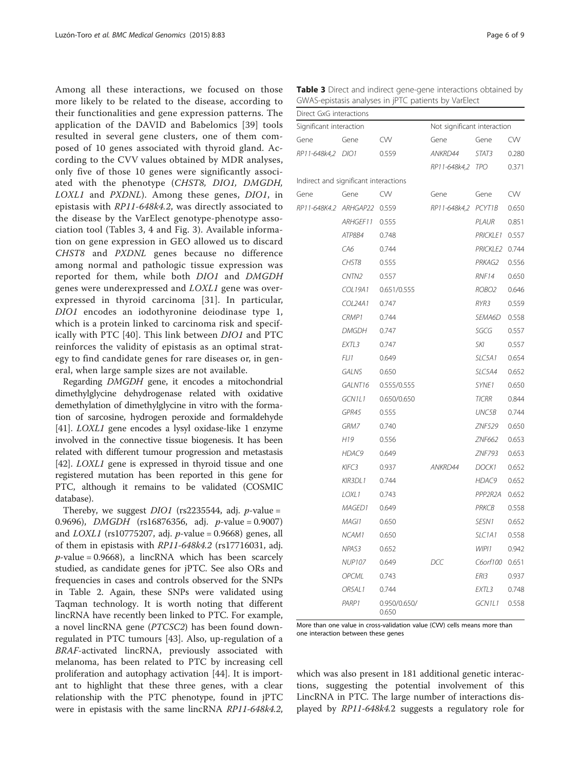Among all these interactions, we focused on those more likely to be related to the disease, according to their functionalities and gene expression patterns. The application of the DAVID and Babelomics [[39](#page-8-0)] tools resulted in several gene clusters, one of them composed of 10 genes associated with thyroid gland. According to the CVV values obtained by MDR analyses, only five of those 10 genes were significantly associated with the phenotype (CHST8, DIO1, DMGDH, LOXL1 and PXDNL). Among these genes, DIO1, in epistasis with RP11-648k4.2, was directly associated to the disease by the VarElect genotype-phenotype association tool (Tables 3, [4](#page-6-0) and Fig. [3\)](#page-6-0). Available information on gene expression in GEO allowed us to discard CHST8 and PXDNL genes because no difference among normal and pathologic tissue expression was reported for them, while both DIO1 and DMGDH genes were underexpressed and LOXL1 gene was overexpressed in thyroid carcinoma [\[31](#page-8-0)]. In particular, DIO1 encodes an iodothyronine deiodinase type 1, which is a protein linked to carcinoma risk and specifically with PTC [[40](#page-8-0)]. This link between DIO1 and PTC reinforces the validity of epistasis as an optimal strategy to find candidate genes for rare diseases or, in general, when large sample sizes are not available.

Regarding DMGDH gene, it encodes a mitochondrial dimethylglycine dehydrogenase related with oxidative demethylation of dimethylglycine in vitro with the formation of sarcosine, hydrogen peroxide and formaldehyde [[41](#page-8-0)]. *LOXL1* gene encodes a lysyl oxidase-like 1 enzyme involved in the connective tissue biogenesis. It has been related with different tumour progression and metastasis [[42](#page-8-0)]. *LOXL1* gene is expressed in thyroid tissue and one registered mutation has been reported in this gene for PTC, although it remains to be validated (COSMIC database).

Thereby, we suggest  $DIO1$  (rs2235544, adj. *p*-value = 0.9696), *DMGDH* (rs16876356, adj. *p*-value = 0.9007) and  $LOXLI$  (rs10775207, adj. *p*-value = 0.9668) genes, all of them in epistasis with RP11-648k4.2 (rs17716031, adj.  $p$ -value = 0.9668), a lincRNA which has been scarcely studied, as candidate genes for jPTC. See also ORs and frequencies in cases and controls observed for the SNPs in Table [2](#page-4-0). Again, these SNPs were validated using Taqman technology. It is worth noting that different lincRNA have recently been linked to PTC. For example, a novel lincRNA gene (PTCSC2) has been found downregulated in PTC tumours [[43\]](#page-8-0). Also, up-regulation of a BRAF-activated lincRNA, previously associated with melanoma, has been related to PTC by increasing cell proliferation and autophagy activation [\[44\]](#page-8-0). It is important to highlight that these three genes, with a clear relationship with the PTC phenotype, found in jPTC were in epistasis with the same lincRNA RP11-648k4.2,

| Direct GxG interactions               |                   |                       |                             |                                                                                                                                                                                                                                                                                                |       |
|---------------------------------------|-------------------|-----------------------|-----------------------------|------------------------------------------------------------------------------------------------------------------------------------------------------------------------------------------------------------------------------------------------------------------------------------------------|-------|
| Significant interaction               |                   |                       | Not significant interaction |                                                                                                                                                                                                                                                                                                |       |
| Gene                                  | Gene              | CW                    | Gene                        | Gene                                                                                                                                                                                                                                                                                           | CW    |
| RP11-648k4,2                          | DIO1              | 0.559                 | ANKRD44                     | STAT3                                                                                                                                                                                                                                                                                          | 0.280 |
|                                       |                   |                       | RP11-648k4,2                | <b>TPO</b>                                                                                                                                                                                                                                                                                     | 0.371 |
| Indirect and significant interactions |                   |                       |                             |                                                                                                                                                                                                                                                                                                |       |
| Gene                                  | Gene              | CW                    | Gene                        | Gene                                                                                                                                                                                                                                                                                           | CW    |
| RP11-648K4.2 ARHGAP22 0.559           |                   |                       | RP11-648k4,2 PCYT1B         |                                                                                                                                                                                                                                                                                                | 0.650 |
|                                       | ARHGEF11          | 0.555                 |                             | PLAUR                                                                                                                                                                                                                                                                                          | 0.851 |
|                                       | ATP8B4            | 0.748                 |                             | <b>PRICKLE1</b><br><b>PRICKLE2</b><br>PRKAG2<br>RNF14<br>ROBO <sub>2</sub><br>RYR3<br>SEMA6D<br>SGCG<br>SKI<br>SLC5A1<br>SLC5A4<br>SYNE1<br><b>TICRR</b><br>UNC5B<br>ZNF529<br>ZNF662<br>ZNF793<br>DOCK1<br>HDAC9<br>PPP2R2A<br>PRKCB<br>SESN1<br>SLC1A1<br>WIP11<br>C6orf100<br>ERI3<br>EXTL3 | 0.557 |
|                                       | CA6               | 0.744                 |                             |                                                                                                                                                                                                                                                                                                | 0.744 |
|                                       | CHST8             | 0.555                 |                             |                                                                                                                                                                                                                                                                                                | 0.556 |
|                                       | CNTN <sub>2</sub> | 0.557                 |                             |                                                                                                                                                                                                                                                                                                | 0.650 |
|                                       | COL19A1           | 0.651/0.555           |                             |                                                                                                                                                                                                                                                                                                | 0.646 |
|                                       | COL24A1           | 0.747                 |                             |                                                                                                                                                                                                                                                                                                | 0.559 |
|                                       | CRMP1             | 0.744                 |                             |                                                                                                                                                                                                                                                                                                | 0.558 |
|                                       | <b>DMGDH</b>      | 0.747                 |                             |                                                                                                                                                                                                                                                                                                | 0.557 |
|                                       | EXTL3             | 0.747                 |                             |                                                                                                                                                                                                                                                                                                | 0.557 |
|                                       | FL11              | 0.649                 |                             |                                                                                                                                                                                                                                                                                                | 0.654 |
|                                       | <b>GALNS</b>      | 0.650                 |                             |                                                                                                                                                                                                                                                                                                | 0.652 |
|                                       | GALNT16           | 0.555/0.555           |                             |                                                                                                                                                                                                                                                                                                | 0.650 |
|                                       | GCN1L1            | 0.650/0.650           |                             |                                                                                                                                                                                                                                                                                                | 0.844 |
|                                       | GPR45             | 0.555                 |                             |                                                                                                                                                                                                                                                                                                | 0.744 |
|                                       | GRM7              | 0.740                 |                             |                                                                                                                                                                                                                                                                                                | 0.650 |
|                                       | H19               | 0.556                 |                             |                                                                                                                                                                                                                                                                                                | 0.653 |
|                                       | HDAC9             | 0.649                 |                             |                                                                                                                                                                                                                                                                                                | 0.653 |
|                                       | KIFC3             | 0.937                 | ANKRD44                     |                                                                                                                                                                                                                                                                                                | 0.652 |
|                                       | KIR3DL1           | 0.744                 |                             |                                                                                                                                                                                                                                                                                                | 0.652 |
|                                       | LOXL1             | 0.743                 |                             |                                                                                                                                                                                                                                                                                                | 0.652 |
|                                       | MAGED1            | 0.649                 |                             |                                                                                                                                                                                                                                                                                                | 0.558 |
|                                       | MAGI1             | 0.650                 |                             |                                                                                                                                                                                                                                                                                                | 0.652 |
|                                       | NCAM1             | 0.650                 |                             |                                                                                                                                                                                                                                                                                                | 0.558 |
|                                       | NPAS3             | 0.652                 |                             |                                                                                                                                                                                                                                                                                                | 0.942 |
|                                       | <b>NUP107</b>     | 0.649                 | DCC                         |                                                                                                                                                                                                                                                                                                | 0.651 |
|                                       | <b>OPCML</b>      | 0.743                 |                             |                                                                                                                                                                                                                                                                                                | 0.937 |
|                                       | OR5AL1            | 0.744                 |                             |                                                                                                                                                                                                                                                                                                | 0.748 |
|                                       | PARP1             | 0.950/0.650/<br>0.650 |                             | GCN1L1                                                                                                                                                                                                                                                                                         | 0.558 |

More than one value in cross-validation value (CVV) cells means more than one interaction between these genes

which was also present in 181 additional genetic interactions, suggesting the potential involvement of this LincRNA in PTC. The large number of interactions displayed by RP11-648k4.2 suggests a regulatory role for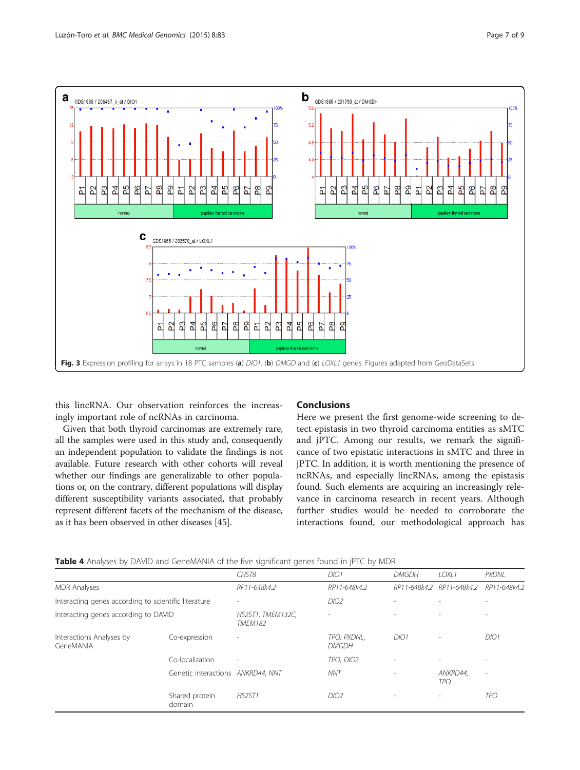<span id="page-6-0"></span>

this lincRNA. Our observation reinforces the increasingly important role of ncRNAs in carcinoma.

Given that both thyroid carcinomas are extremely rare, all the samples were used in this study and, consequently an independent population to validate the findings is not available. Future research with other cohorts will reveal whether our findings are generalizable to other populations or, on the contrary, different populations will display different susceptibility variants associated, that probably represent different facets of the mechanism of the disease, as it has been observed in other diseases [\[45](#page-8-0)].

#### Conclusions

Here we present the first genome-wide screening to detect epistasis in two thyroid carcinoma entities as sMTC and jPTC. Among our results, we remark the significance of two epistatic interactions in sMTC and three in jPTC. In addition, it is worth mentioning the presence of ncRNAs, and especially lincRNAs, among the epistasis found. Such elements are acquiring an increasingly relevance in carcinoma research in recent years. Although further studies would be needed to corroborate the interactions found, our methodological approach has

|                                                      |                                   | CHST8                               | DIO1                        | <b>DMGDH</b>             | LOXL1                     | <b>PXDNL</b>             |
|------------------------------------------------------|-----------------------------------|-------------------------------------|-----------------------------|--------------------------|---------------------------|--------------------------|
| <b>MDR</b> Analyses                                  |                                   | RP11-648k4.2                        | RP11-648k4.2                |                          | RP11-648k4.2 RP11-648k4.2 | RP11-648k4.2             |
| Interacting genes according to scientific literature |                                   |                                     | DIO2                        |                          |                           |                          |
| Interacting genes according to DAVID                 |                                   | HS2ST1, TMEM132C,<br><b>TMEM182</b> |                             |                          |                           |                          |
| Interactions Analyses by<br>GeneMANIA                | Co-expression                     |                                     | TPO, PXDNL,<br><b>DMGDH</b> | DIO1                     | ٠                         | DIO1                     |
|                                                      | Co-localization                   | $\sim$                              | TPO, DIO2                   | $\sim$                   |                           |                          |
|                                                      | Genetic interactions ANKRD44, NNT |                                     | <b>NNT</b>                  | $\overline{\phantom{a}}$ | ANKRD44.<br>TPO           | $\overline{\phantom{a}}$ |
|                                                      | Shared protein<br>domain          | HS2ST1                              | DIO2                        |                          | ٠                         | <b>TPO</b>               |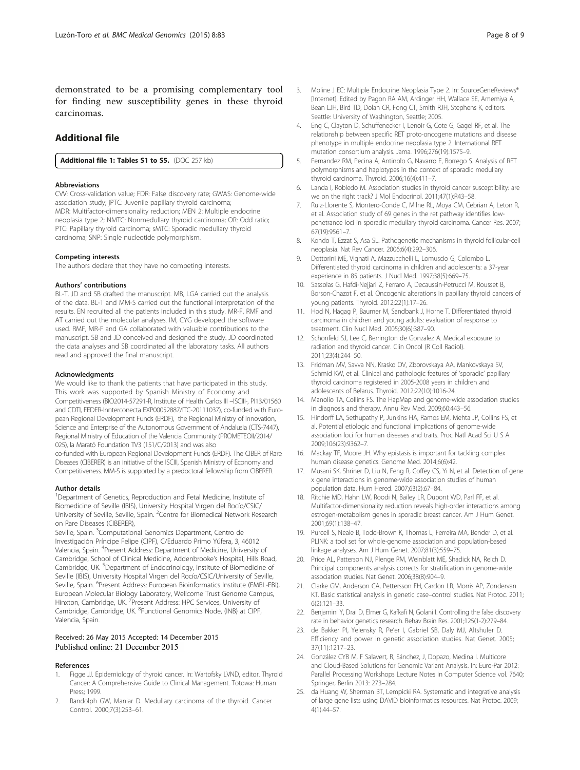<span id="page-7-0"></span>demonstrated to be a promising complementary tool for finding new susceptibility genes in these thyroid carcinomas.

#### Additional file

[Additional file 1: Tables S1 to S5.](dx.doi.org/10.1186/s12920-015-0160-7) (DOC 257 kb)

#### Abbreviations

CVV: Cross-validation value; FDR: False discovery rate; GWAS: Genome-wide association study; jPTC: Juvenile papillary thyroid carcinoma; MDR: Multifactor-dimensionality reduction; MEN 2: Multiple endocrine neoplasia type 2; NMTC: Nonmedullary thyroid carcinoma; OR: Odd ratio; PTC: Papillary thyroid carcinoma; sMTC: Sporadic medullary thyroid carcinoma; SNP: Single nucleotide polymorphism.

#### Competing interests

The authors declare that they have no competing interests.

#### Authors' contributions

BL-T, JD and SB drafted the manuscript. MB, LGA carried out the analysis of the data. BL-T and MM-S carried out the functional interpretation of the results. EN recruited all the patients included in this study. MR-F, RMF and AT carried out the molecular analyses. IM, CYG developed the software used. RMF, MR-F and GA collaborated with valuable contributions to the manuscript. SB and JD conceived and designed the study. JD coordinated the data analyses and SB coordinated all the laboratory tasks. All authors read and approved the final manuscript.

#### Acknowledgments

We would like to thank the patients that have participated in this study. This work was supported by Spanish Ministry of Economy and Competitiveness (BIO2014-57291-R, Institute of Health Carlos III –ISCIII-, PI13/01560 and CDTI, FEDER-Innterconecta EXP00052887/ITC-20111037), co-funded with European Regional Development Funds (ERDF), the Regional Ministry of Innovation, Science and Enterprise of the Autonomous Government of Andalusia (CTS-7447), Regional Ministry of Education of the Valencia Community (PROMETEOII/2014/ 025), la Marató Foundation TV3 (151/C/2013) and was also co-funded with European Regional Development Funds (ERDF). The CIBER of Rare Diseases (CIBERER) is an initiative of the ISCIII, Spanish Ministry of Economy and Competitiveness. MM-S is supported by a predoctoral fellowship from CIBERER.

#### Author details

<sup>1</sup>Department of Genetics, Reproduction and Fetal Medicine, Institute of Biomedicine of Seville (IBIS), University Hospital Virgen del Rocío/CSIC/ University of Seville, Seville, Spain. <sup>2</sup> Centre for Biomedical Network Research on Rare Diseases (CIBERER),

Seville, Spain. <sup>3</sup>Computational Genomics Department, Centro de Investigación Príncipe Felipe (CIPF), C/Eduardo Primo Yúfera, 3, 46012 Valencia, Spain. <sup>4</sup>Present Address: Department of Medicine, University of Cambridge, School of Clinical Medicine, Addenbrooke's Hospital, Hills Road, Cambridge, UK. <sup>5</sup>Department of Endocrinology, Institute of Biomedicine of Seville (IBIS), University Hospital Virgen del Rocío/CSIC/University of Seville, Seville, Spain. <sup>6</sup>Present Address: European Bioinformatics Institute (EMBL-EBI), European Molecular Biology Laboratory, Wellcome Trust Genome Campus, Hinxton, Cambridge, UK. <sup>7</sup> Present Address: HPC Services, University of Cambridge, Cambridge, UK. <sup>8</sup>Functional Genomics Node, (INB) at CIPF, Valencia, Spain.

# Received: 26 May 2015 Accepted: 14 December 2015<br>Published online: 21 December 2015

#### References

- 1. Figge JJ. Epidemiology of thyroid cancer. In: Wartofsky LVND, editor. Thyroid Cancer: A Comprehensive Guide to Clinical Management. Totowa: Human Press; 1999.
- 2. Randolph GW, Maniar D. Medullary carcinoma of the thyroid. Cancer Control. 2000;7(3):253–61.
- 3. Moline J EC: Multiple Endocrine Neoplasia Type 2. In: SourceGeneReviews® [Internet]. Edited by Pagon RA AM, Ardinger HH, Wallace SE, Amemiya A, Bean LJH, Bird TD, Dolan CR, Fong CT, Smith RJH, Stephens K, editors. Seattle: University of Washington, Seattle; 2005.
- 4. Eng C, Clayton D, Schuffenecker I, Lenoir G, Cote G, Gagel RF, et al. The relationship between specific RET proto-oncogene mutations and disease phenotype in multiple endocrine neoplasia type 2. International RET mutation consortium analysis. Jama. 1996;276(19):1575–9.
- 5. Fernandez RM, Pecina A, Antinolo G, Navarro E, Borrego S. Analysis of RET polymorphisms and haplotypes in the context of sporadic medullary thyroid carcinoma. Thyroid. 2006;16(4):411–7.
- Landa I, Robledo M. Association studies in thyroid cancer susceptibility: are we on the right track? J Mol Endocrinol. 2011;47(1):R43–58.
- 7. Ruiz-Llorente S, Montero-Conde C, Milne RL, Moya CM, Cebrian A, Leton R, et al. Association study of 69 genes in the ret pathway identifies lowpenetrance loci in sporadic medullary thyroid carcinoma. Cancer Res. 2007; 67(19):9561–7.
- 8. Kondo T, Ezzat S, Asa SL. Pathogenetic mechanisms in thyroid follicular-cell neoplasia. Nat Rev Cancer. 2006;6(4):292–306.
- 9. Dottorini ME, Vignati A, Mazzucchelli L, Lomuscio G, Colombo L. Differentiated thyroid carcinoma in children and adolescents: a 37-year experience in 85 patients. J Nucl Med. 1997;38(5):669–75.
- 10. Sassolas G, Hafdi-Nejjari Z, Ferraro A, Decaussin-Petrucci M, Rousset B, Borson-Chazot F, et al. Oncogenic alterations in papillary thyroid cancers of young patients. Thyroid. 2012;22(1):17–26.
- 11. Hod N, Hagag P, Baumer M, Sandbank J, Horne T. Differentiated thyroid carcinoma in children and young adults: evaluation of response to treatment. Clin Nucl Med. 2005;30(6):387–90.
- 12. Schonfeld SJ, Lee C, Berrington de Gonzalez A. Medical exposure to radiation and thyroid cancer. Clin Oncol (R Coll Radiol). 2011;23(4):244–50.
- 13. Fridman MV, Savva NN, Krasko OV, Zborovskaya AA, Mankovskaya SV, Schmid KW, et al. Clinical and pathologic features of 'sporadic' papillary thyroid carcinoma registered in 2005-2008 years in children and adolescents of Belarus. Thyroid. 2012;22(10):1016-24.
- 14. Manolio TA, Collins FS. The HapMap and genome-wide association studies in diagnosis and therapy. Annu Rev Med. 2009;60:443–56.
- 15. Hindorff LA, Sethupathy P, Junkins HA, Ramos EM, Mehta JP, Collins FS, et al. Potential etiologic and functional implications of genome-wide association loci for human diseases and traits. Proc Natl Acad Sci U S A. 2009;106(23):9362–7.
- 16. Mackay TF, Moore JH. Why epistasis is important for tackling complex human disease genetics. Genome Med. 2014;6(6):42.
- 17. Musani SK, Shriner D, Liu N, Feng R, Coffey CS, Yi N, et al. Detection of gene x gene interactions in genome-wide association studies of human population data. Hum Hered. 2007;63(2):67–84.
- 18. Ritchie MD, Hahn LW, Roodi N, Bailey LR, Dupont WD, Parl FF, et al. Multifactor-dimensionality reduction reveals high-order interactions among estrogen-metabolism genes in sporadic breast cancer. Am J Hum Genet. 2001;69(1):138–47.
- 19. Purcell S, Neale B, Todd-Brown K, Thomas L, Ferreira MA, Bender D, et al. PLINK: a tool set for whole-genome association and population-based linkage analyses. Am J Hum Genet. 2007;81(3):559–75.
- 20. Price AL, Patterson NJ, Plenge RM, Weinblatt ME, Shadick NA, Reich D. Principal components analysis corrects for stratification in genome-wide association studies. Nat Genet. 2006;38(8):904–9.
- 21. Clarke GM, Anderson CA, Pettersson FH, Cardon LR, Morris AP, Zondervan KT. Basic statistical analysis in genetic case–control studies. Nat Protoc. 2011; 6(2):121–33.
- 22. Benjamini Y, Drai D, Elmer G, Kafkafi N, Golani I. Controlling the false discovery rate in behavior genetics research. Behav Brain Res. 2001;125(1-2):279–84.
- 23. de Bakker PI, Yelensky R, Pe'er I, Gabriel SB, Daly MJ, Altshuler D. Efficiency and power in genetic association studies. Nat Genet. 2005; 37(11):1217–23.
- 24. González CYB M, F Salavert, R, Sánchez, J, Dopazo, Medina I. Multicore and Cloud-Based Solutions for Genomic Variant Analysis. In: Euro-Par 2012: Parallel Processing Workshops Lecture Notes in Computer Science vol. 7640; Springer, Berlin 2013: 273–284.
- 25. da Huang W, Sherman BT, Lempicki RA. Systematic and integrative analysis of large gene lists using DAVID bioinformatics resources. Nat Protoc. 2009; 4(1):44–57.